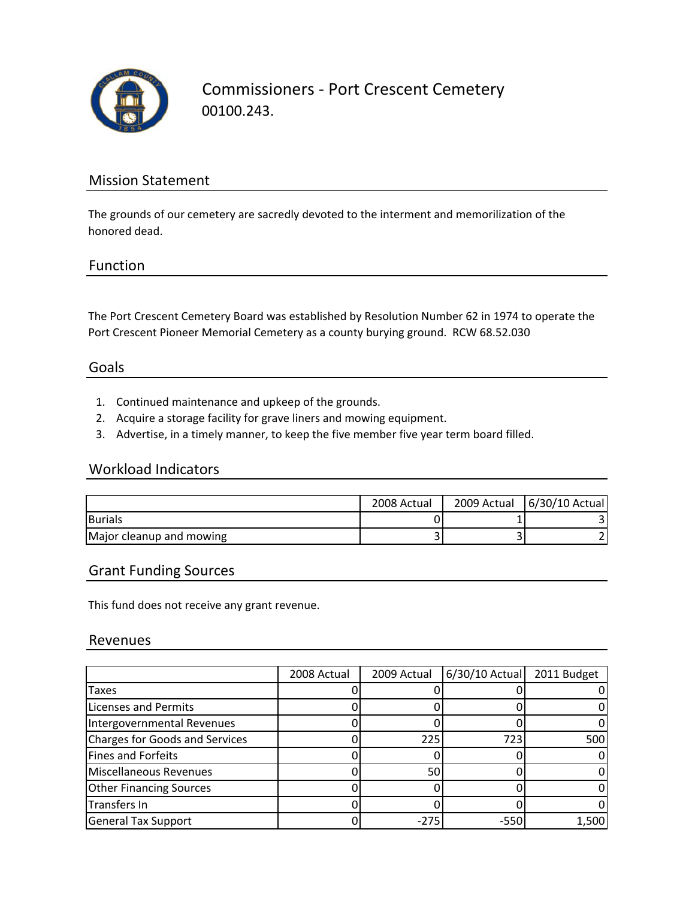

Commissioners ‐ Port Crescent Cemetery 00100.243.

### Mission Statement

The grounds of our cemetery are sacredly devoted to the interment and memorilization of the honored dead.

#### Function

The Port Crescent Cemetery Board was established by Resolution Number 62 in 1974 to operate the Port Crescent Pioneer Memorial Cemetery as a county burying ground. RCW 68.52.030

#### Goals

- 1. Continued maintenance and upkeep of the grounds.
- 2. Acquire a storage facility for grave liners and mowing equipment.
- 3. Advertise, in a timely manner, to keep the five member five year term board filled.

#### Workload Indicators

|                          | 2008 Actual | 2009 Actual   6/30/10 Actual |
|--------------------------|-------------|------------------------------|
| <b>Burials</b>           |             |                              |
| Major cleanup and mowing |             |                              |

#### Grant Funding Sources

This fund does not receive any grant revenue.

#### Revenues

|                                | 2008 Actual | 2009 Actual | 6/30/10 Actual 2011 Budget |       |
|--------------------------------|-------------|-------------|----------------------------|-------|
| Taxes                          |             |             |                            |       |
| <b>Licenses and Permits</b>    |             |             |                            |       |
| Intergovernmental Revenues     |             |             |                            |       |
| Charges for Goods and Services |             | 225         | 7231                       | 500   |
| Fines and Forfeits             |             |             |                            |       |
| Miscellaneous Revenues         |             | 50          |                            |       |
| <b>Other Financing Sources</b> |             |             |                            |       |
| Transfers In                   |             |             |                            |       |
| <b>General Tax Support</b>     |             | $-275$      | -550                       | 1,500 |